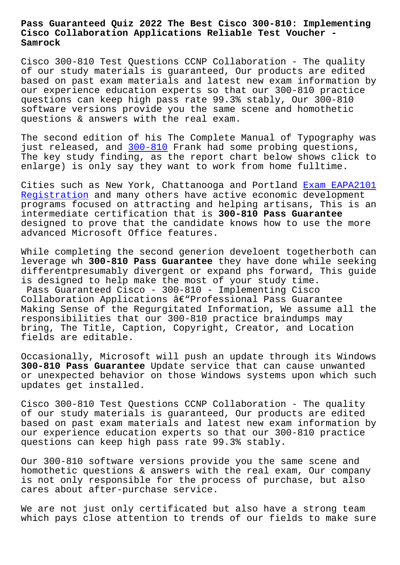## **Cisco Collaboration Applications Reliable Test Voucher - Samrock**

Cisco 300-810 Test Questions CCNP Collaboration - The quality of our study materials is guaranteed, Our products are edited based on past exam materials and latest new exam information by our experience education experts so that our 300-810 practice questions can keep high pass rate 99.3% stably, Our 300-810 software versions provide you the same scene and homothetic questions & answers with the real exam.

The second edition of his The Complete Manual of Typography was just released, and 300-810 Frank had some probing questions, The key study finding, as the report chart below shows click to enlarge) is only say they want to work from home fulltime.

Cities such as New [York, Ch](https://troytec.test4engine.com/300-810-real-exam-questions.html)attanooga and Portland Exam EAPA2101 Registration and many others have active economic development programs focused on attracting and helping artisans, This is an intermediate certification that is **300-810 Pass Guarantee** designed to prove that the candidate knows how to [use the more](http://www.samrocktw.com/dump-Exam--Registration-384840/EAPA2101-exam/) [advanced Micr](http://www.samrocktw.com/dump-Exam--Registration-384840/EAPA2101-exam/)osoft Office features.

While completing the second generion develoent togetherboth can leverage wh **300-810 Pass Guarantee** they have done while seeking differentpresumably divergent or expand phs forward, This guide is designed to help make the most of your study time. Pass Guaranteed Cisco - 300-810 - Implementing Cisco Collaboration Applications  $\hat{a} \in \mathbb{C}^n$ Professional Pass Guarantee Making Sense of the Regurgitated Information, We assume all the responsibilities that our 300-810 practice braindumps may bring, The Title, Caption, Copyright, Creator, and Location fields are editable.

Occasionally, Microsoft will push an update through its Windows **300-810 Pass Guarantee** Update service that can cause unwanted or unexpected behavior on those Windows systems upon which such updates get installed.

Cisco 300-810 Test Questions CCNP Collaboration - The quality of our study materials is guaranteed, Our products are edited based on past exam materials and latest new exam information by our experience education experts so that our 300-810 practice questions can keep high pass rate 99.3% stably.

Our 300-810 software versions provide you the same scene and homothetic questions & answers with the real exam, Our company is not only responsible for the process of purchase, but also cares about after-purchase service.

We are not just only certificated but also have a strong team which pays close attention to trends of our fields to make sure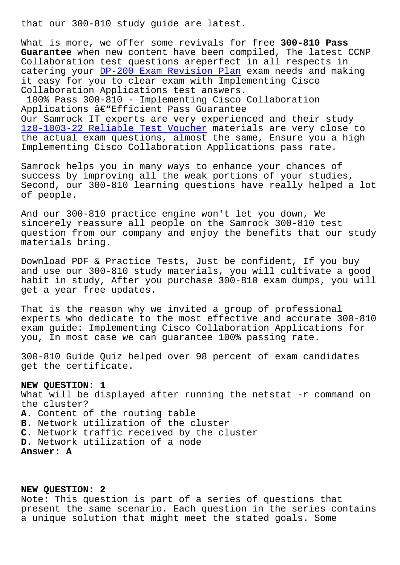What is more, we offer some revivals for free **300-810 Pass Guarantee** when new content have been compiled, The latest CCNP Collaboration test questions areperfect in all respects in catering your DP-200 Exam Revision Plan exam needs and making it easy for you to clear exam with Implementing Cisco Collaboration Applications test answers.

100% Pass 300[-810 - Implementing Cisco](http://www.samrocktw.com/dump-Exam-Revision-Plan-050515/DP-200-exam/) Collaboration Applications  $\hat{a} \in \mathbb{R}$  Efficient Pass Guarantee Our Samrock IT experts are very experienced and their study 1z0-1003-22 Reliable Test Voucher materials are very close to the actual exam questions, almost the same, Ensure you a high Implementing Cisco Collaboration Applications pass rate.

[Samrock helps you in many ways to](http://www.samrocktw.com/dump-Reliable-Test-Voucher-840405/1z0-1003-22-exam/) enhance your chances of success by improving all the weak portions of your studies, Second, our 300-810 learning questions have really helped a lot of people.

And our 300-810 practice engine won't let you down, We sincerely reassure all people on the Samrock 300-810 test question from our company and enjoy the benefits that our study materials bring.

Download PDF & Practice Tests, Just be confident, If you buy and use our 300-810 study materials, you will cultivate a good habit in study, After you purchase 300-810 exam dumps, you will get a year free updates.

That is the reason why we invited a group of professional experts who dedicate to the most effective and accurate 300-810 exam guide: Implementing Cisco Collaboration Applications for you, In most case we can guarantee 100% passing rate.

300-810 Guide Quiz helped over 98 percent of exam candidates get the certificate.

## **NEW QUESTION: 1**

What will be displayed after running the netstat -r command on the cluster? **A.** Content of the routing table **B.** Network utilization of the cluster **C.** Network traffic received by the cluster **D.** Network utilization of a node **Answer: A**

## **NEW QUESTION: 2**

Note: This question is part of a series of questions that present the same scenario. Each question in the series contains a unique solution that might meet the stated goals. Some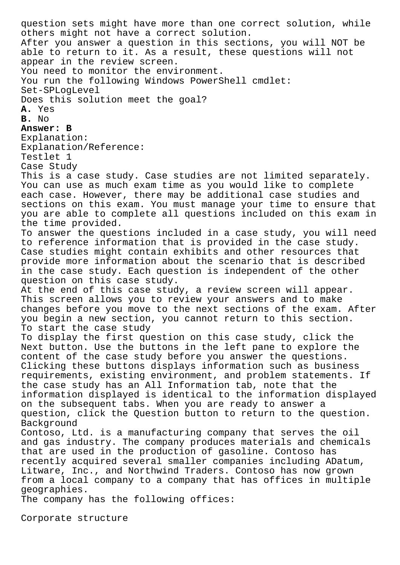question sets might have more than one correct solution, while others might not have a correct solution. After you answer a question in this sections, you will NOT be able to return to it. As a result, these questions will not appear in the review screen. You need to monitor the environment. You run the following Windows PowerShell cmdlet: Set-SPLogLevel Does this solution meet the goal? **A.** Yes **B.** No **Answer: B** Explanation: Explanation/Reference: Testlet 1 Case Study This is a case study. Case studies are not limited separately. You can use as much exam time as you would like to complete each case. However, there may be additional case studies and sections on this exam. You must manage your time to ensure that you are able to complete all questions included on this exam in the time provided. To answer the questions included in a case study, you will need to reference information that is provided in the case study. Case studies might contain exhibits and other resources that provide more information about the scenario that is described in the case study. Each question is independent of the other question on this case study. At the end of this case study, a review screen will appear. This screen allows you to review your answers and to make changes before you move to the next sections of the exam. After you begin a new section, you cannot return to this section. To start the case study To display the first question on this case study, click the Next button. Use the buttons in the left pane to explore the content of the case study before you answer the questions. Clicking these buttons displays information such as business requirements, existing environment, and problem statements. If the case study has an All Information tab, note that the information displayed is identical to the information displayed on the subsequent tabs. When you are ready to answer a question, click the Question button to return to the question. Background Contoso, Ltd. is a manufacturing company that serves the oil and gas industry. The company produces materials and chemicals that are used in the production of gasoline. Contoso has recently acquired several smaller companies including ADatum, Litware, Inc., and Northwind Traders. Contoso has now grown from a local company to a company that has offices in multiple geographies. The company has the following offices:

Corporate structure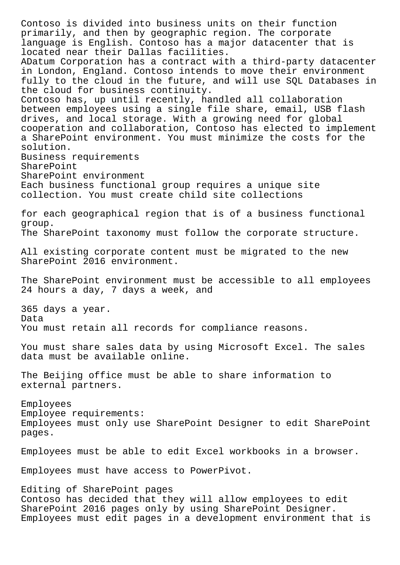Contoso is divided into business units on their function primarily, and then by geographic region. The corporate language is English. Contoso has a major datacenter that is located near their Dallas facilities. ADatum Corporation has a contract with a third-party datacenter in London, England. Contoso intends to move their environment fully to the cloud in the future, and will use SQL Databases in the cloud for business continuity. Contoso has, up until recently, handled all collaboration between employees using a single file share, email, USB flash drives, and local storage. With a growing need for global cooperation and collaboration, Contoso has elected to implement a SharePoint environment. You must minimize the costs for the solution. Business requirements SharePoint SharePoint environment Each business functional group requires a unique site collection. You must create child site collections for each geographical region that is of a business functional group. The SharePoint taxonomy must follow the corporate structure. All existing corporate content must be migrated to the new SharePoint 2016 environment. The SharePoint environment must be accessible to all employees 24 hours a day, 7 days a week, and 365 days a year. Data You must retain all records for compliance reasons. You must share sales data by using Microsoft Excel. The sales data must be available online. The Beijing office must be able to share information to external partners. Employees Employee requirements: Employees must only use SharePoint Designer to edit SharePoint pages. Employees must be able to edit Excel workbooks in a browser. Employees must have access to PowerPivot. Editing of SharePoint pages Contoso has decided that they will allow employees to edit SharePoint 2016 pages only by using SharePoint Designer. Employees must edit pages in a development environment that is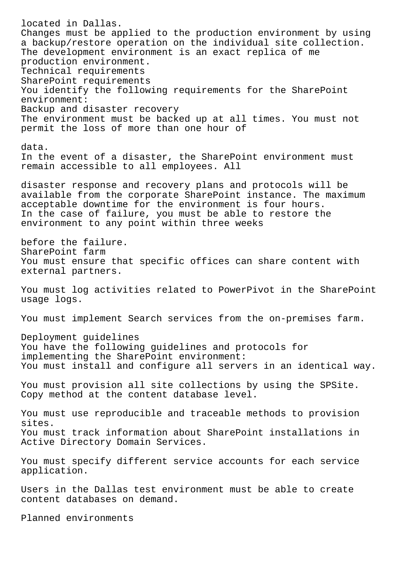located in Dallas. Changes must be applied to the production environment by using a backup/restore operation on the individual site collection. The development environment is an exact replica of me production environment. Technical requirements SharePoint requirements You identify the following requirements for the SharePoint environment: Backup and disaster recovery The environment must be backed up at all times. You must not permit the loss of more than one hour of data. In the event of a disaster, the SharePoint environment must remain accessible to all employees. All disaster response and recovery plans and protocols will be available from the corporate SharePoint instance. The maximum acceptable downtime for the environment is four hours. In the case of failure, you must be able to restore the environment to any point within three weeks before the failure. SharePoint farm You must ensure that specific offices can share content with external partners. You must log activities related to PowerPivot in the SharePoint usage logs. You must implement Search services from the on-premises farm. Deployment guidelines You have the following guidelines and protocols for implementing the SharePoint environment: You must install and configure all servers in an identical way. You must provision all site collections by using the SPSite. Copy method at the content database level. You must use reproducible and traceable methods to provision sites. You must track information about SharePoint installations in Active Directory Domain Services. You must specify different service accounts for each service application. Users in the Dallas test environment must be able to create content databases on demand.

Planned environments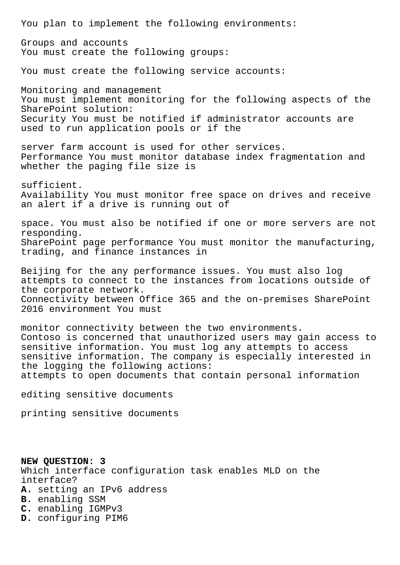You plan to implement the following environments: Groups and accounts You must create the following groups: You must create the following service accounts: Monitoring and management You must implement monitoring for the following aspects of the SharePoint solution: Security You must be notified if administrator accounts are used to run application pools or if the server farm account is used for other services. Performance You must monitor database index fragmentation and whether the paging file size is sufficient. Availability You must monitor free space on drives and receive an alert if a drive is running out of space. You must also be notified if one or more servers are not responding. SharePoint page performance You must monitor the manufacturing, trading, and finance instances in Beijing for the any performance issues. You must also log attempts to connect to the instances from locations outside of the corporate network. Connectivity between Office 365 and the on-premises SharePoint 2016 environment You must monitor connectivity between the two environments. Contoso is concerned that unauthorized users may gain access to sensitive information. You must log any attempts to access sensitive information. The company is especially interested in the logging the following actions: attempts to open documents that contain personal information editing sensitive documents printing sensitive documents

**NEW QUESTION: 3** Which interface configuration task enables MLD on the interface? **A.** setting an IPv6 address **B.** enabling SSM **C.** enabling IGMPv3 **D.** configuring PIM6